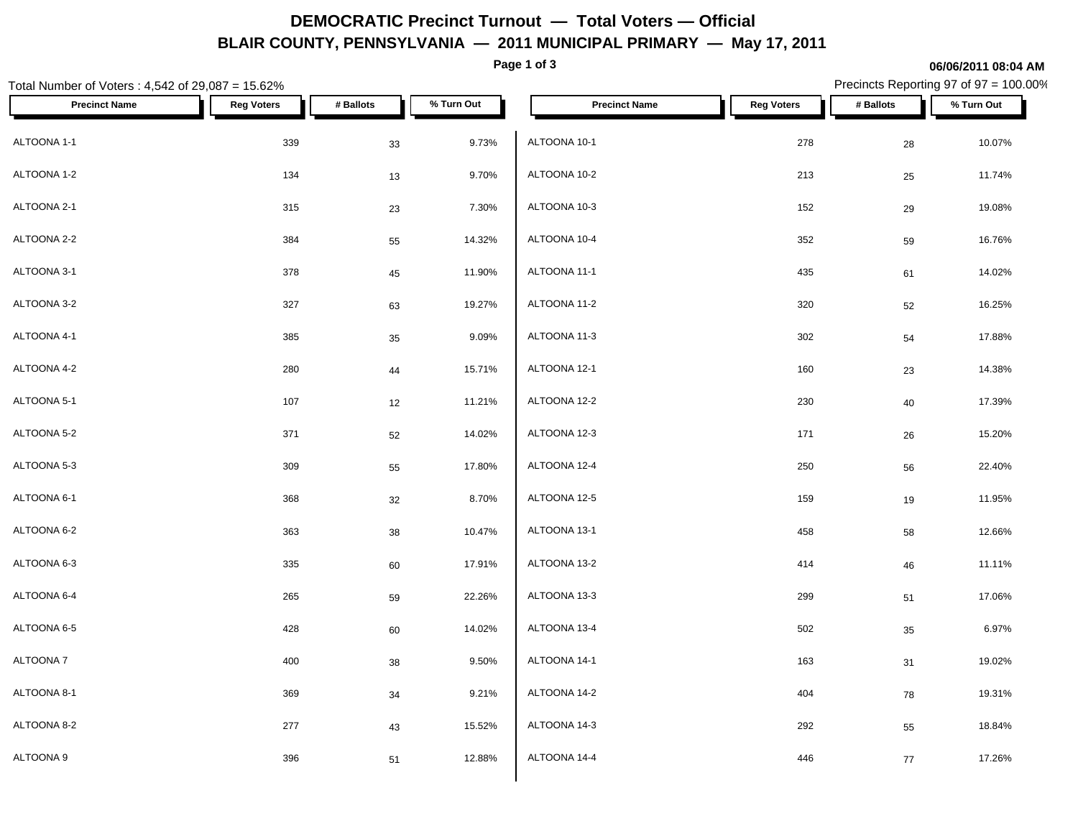# **DEMOCRATIC Precinct Turnout — Total Voters — Official BLAIR COUNTY, PENNSYLVANIA — 2011 MUNICIPAL PRIMARY — May 17, 2011**

**Page 1 of 3**

### **06/06/2011 08:04 AM**

Precincts Reporting 97 of 97 = 100.00%

| Total Number of Voters: 4,542 of 29,087 = 15.62% |                   | Precincts Reporting 97 of 97 = 100.00% |            |                      |                   |            |            |
|--------------------------------------------------|-------------------|----------------------------------------|------------|----------------------|-------------------|------------|------------|
| <b>Precinct Name</b>                             | <b>Reg Voters</b> | # Ballots                              | % Turn Out | <b>Precinct Name</b> | <b>Reg Voters</b> | # Ballots  | % Turn Out |
| ALTOONA 1-1                                      | 339               | 33                                     | 9.73%      | ALTOONA 10-1         | 278               | ${\bf 28}$ | 10.07%     |
| ALTOONA 1-2                                      | 134               | 13                                     | 9.70%      | ALTOONA 10-2         | 213               | 25         | 11.74%     |
| ALTOONA 2-1                                      | 315               | 23                                     | 7.30%      | ALTOONA 10-3         | 152               | 29         | 19.08%     |
| ALTOONA 2-2                                      | 384               | 55                                     | 14.32%     | ALTOONA 10-4         | 352               | 59         | 16.76%     |
| ALTOONA 3-1                                      | 378               | 45                                     | 11.90%     | ALTOONA 11-1         | 435               | 61         | 14.02%     |
| ALTOONA 3-2                                      | 327               | 63                                     | 19.27%     | ALTOONA 11-2         | 320               | 52         | 16.25%     |
| ALTOONA 4-1                                      | 385               | $35\,$                                 | 9.09%      | ALTOONA 11-3         | 302               | 54         | 17.88%     |
| ALTOONA 4-2                                      | 280               | 44                                     | 15.71%     | ALTOONA 12-1         | 160               | 23         | 14.38%     |
| ALTOONA 5-1                                      | 107               | 12                                     | 11.21%     | ALTOONA 12-2         | 230               | 40         | 17.39%     |
| ALTOONA 5-2                                      | 371               | 52                                     | 14.02%     | ALTOONA 12-3         | 171               | 26         | 15.20%     |
| ALTOONA 5-3                                      | 309               | 55                                     | 17.80%     | ALTOONA 12-4         | 250               | 56         | 22.40%     |
| ALTOONA 6-1                                      | 368               | 32                                     | 8.70%      | ALTOONA 12-5         | 159               | 19         | 11.95%     |
| ALTOONA 6-2                                      | 363               | 38                                     | 10.47%     | ALTOONA 13-1         | 458               | 58         | 12.66%     |
| ALTOONA 6-3                                      | 335               | 60                                     | 17.91%     | ALTOONA 13-2         | 414               | 46         | 11.11%     |
| ALTOONA 6-4                                      | 265               | 59                                     | 22.26%     | ALTOONA 13-3         | 299               | 51         | 17.06%     |
| ALTOONA 6-5                                      | 428               | 60                                     | 14.02%     | ALTOONA 13-4         | 502               | 35         | 6.97%      |
| ALTOONA 7                                        | 400               | 38                                     | 9.50%      | ALTOONA 14-1         | 163               | 31         | 19.02%     |
| ALTOONA 8-1                                      | 369               | 34                                     | 9.21%      | ALTOONA 14-2         | 404               | 78         | 19.31%     |
| ALTOONA 8-2                                      | 277               | 43                                     | 15.52%     | ALTOONA 14-3         | 292               | 55         | 18.84%     |
| ALTOONA 9                                        | 396               | 51                                     | 12.88%     | ALTOONA 14-4         | 446               | $77$       | 17.26%     |
|                                                  |                   |                                        |            |                      |                   |            |            |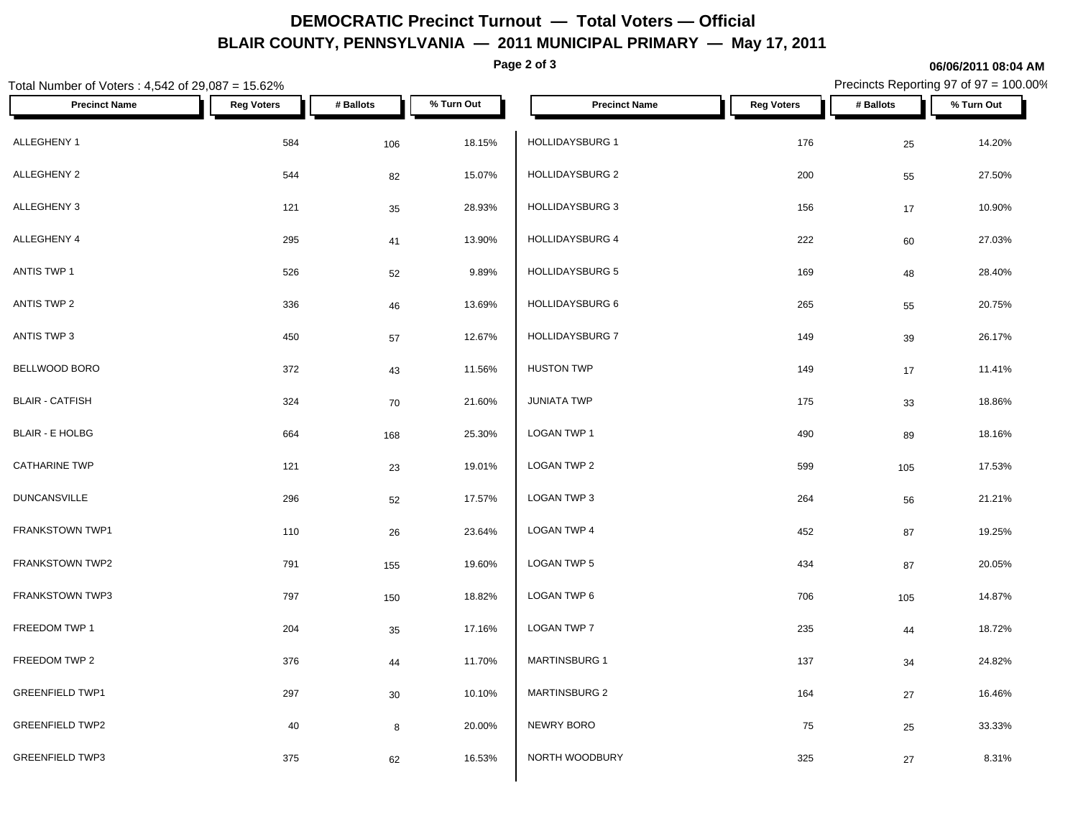## **DEMOCRATIC Precinct Turnout — Total Voters — Official BLAIR COUNTY, PENNSYLVANIA — 2011 MUNICIPAL PRIMARY — May 17, 2011**

**Page 2 of 3**

#### **06/06/2011 08:04 AM**

Precincts Reporting 97 of 97 = 100.00%

| Total Number of Voters : 4,542 of 29,087 = 15.62% |                   | Precincts Reporting 97 of 97 = 100.00% |            |                        |                   |            |            |
|---------------------------------------------------|-------------------|----------------------------------------|------------|------------------------|-------------------|------------|------------|
| <b>Precinct Name</b>                              | <b>Reg Voters</b> | # Ballots                              | % Turn Out | <b>Precinct Name</b>   | <b>Reg Voters</b> | # Ballots  | % Turn Out |
| ALLEGHENY 1                                       | 584               | 106                                    | 18.15%     | <b>HOLLIDAYSBURG 1</b> | 176               | 25         | 14.20%     |
| ALLEGHENY 2                                       | 544               | 82                                     | 15.07%     | HOLLIDAYSBURG 2        | 200               | 55         | 27.50%     |
| ALLEGHENY 3                                       | 121               | 35                                     | 28.93%     | <b>HOLLIDAYSBURG 3</b> | 156               | $17$       | 10.90%     |
| ALLEGHENY 4                                       | 295               | 41                                     | 13.90%     | HOLLIDAYSBURG 4        | 222               | 60         | 27.03%     |
| ANTIS TWP 1                                       | 526               | 52                                     | 9.89%      | <b>HOLLIDAYSBURG 5</b> | 169               | 48         | 28.40%     |
| ANTIS TWP 2                                       | 336               | 46                                     | 13.69%     | <b>HOLLIDAYSBURG 6</b> | 265               | 55         | 20.75%     |
| ANTIS TWP 3                                       | 450               | 57                                     | 12.67%     | <b>HOLLIDAYSBURG 7</b> | 149               | $39\,$     | 26.17%     |
| BELLWOOD BORO                                     | 372               | 43                                     | 11.56%     | <b>HUSTON TWP</b>      | 149               | $17$       | 11.41%     |
| <b>BLAIR - CATFISH</b>                            | 324               | 70                                     | 21.60%     | <b>JUNIATA TWP</b>     | 175               | 33         | 18.86%     |
| <b>BLAIR - E HOLBG</b>                            | 664               | 168                                    | 25.30%     | LOGAN TWP 1            | 490               | 89         | 18.16%     |
| <b>CATHARINE TWP</b>                              | 121               | 23                                     | 19.01%     | LOGAN TWP 2            | 599               | 105        | 17.53%     |
| <b>DUNCANSVILLE</b>                               | 296               | 52                                     | 17.57%     | LOGAN TWP 3            | 264               | 56         | 21.21%     |
| FRANKSTOWN TWP1                                   | 110               | 26                                     | 23.64%     | <b>LOGAN TWP 4</b>     | 452               | ${\bf 87}$ | 19.25%     |
| FRANKSTOWN TWP2                                   | 791               | 155                                    | 19.60%     | LOGAN TWP 5            | 434               | 87         | 20.05%     |
| FRANKSTOWN TWP3                                   | 797               | 150                                    | 18.82%     | LOGAN TWP 6            | 706               | 105        | 14.87%     |
| FREEDOM TWP 1                                     | 204               | 35                                     | 17.16%     | LOGAN TWP 7            | 235               | ${\bf 44}$ | 18.72%     |
| FREEDOM TWP 2                                     | 376               | 44                                     | 11.70%     | <b>MARTINSBURG 1</b>   | 137               | 34         | 24.82%     |
| <b>GREENFIELD TWP1</b>                            | 297               | $30\,$                                 | 10.10%     | <b>MARTINSBURG 2</b>   | 164               | $27\,$     | 16.46%     |
| <b>GREENFIELD TWP2</b>                            | 40                | 8                                      | 20.00%     | NEWRY BORO             | 75                | 25         | 33.33%     |
| <b>GREENFIELD TWP3</b>                            | 375               | 62                                     | 16.53%     | NORTH WOODBURY         | 325               | $27\,$     | 8.31%      |
|                                                   |                   |                                        |            |                        |                   |            |            |